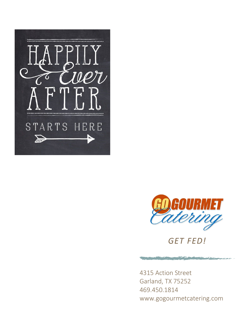



*GET FED!*

the property of the control of the control of

4315 Action Street Garland, TX 75252 469.450.1814 www.gogourmetcatering.com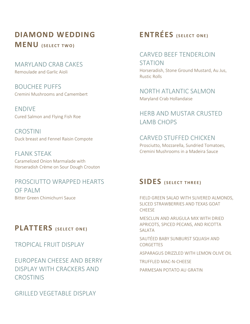## **DIAMOND WEDDING MENU** (SELECT TWO)

MARYLAND CRAB CAKES Remoulade and Garlic Aioli

BOUCHEE PUFFS Cremini Mushrooms and Camembert

ENDIVE Cured Salmon and Flying Fish Roe

CROSTINI Duck breast and Fennel Raisin Compote

FLANK STEAK Caramelized Onion Marmalade with Horseradish Crème on Sour Dough Crouton

PROSCIUTTO WRAPPED HEARTS OF PALM Bitter Green Chimichurri Sauce

### **PLATTERS** (SELECT ONE)

TROPICAL FRUIT DISPLAY

EUROPEAN CHEESE AND BERRY DISPLAY WITH CRACKERS AND **CROSTINIS** 

GRILLED VEGETABLE DISPLAY

# **ENTRÉES** (SELECT ONE)

### CARVED BEEF TENDERLOIN

STATION Horseradish, Stone Ground Mustard, Au Jus, Rustic Rolls

#### NORTH ATLANTIC SALMON Maryland Crab Hollandaise

### HERB AND MUSTAR CRUSTED LAMB CHOPS

CARVED STUFFED CHICKEN Prosciutto, Mozzarella, Sundried Tomatoes, Cremini Mushrooms in a Madeira Sauce

### $SIDES$  (SELECT THREE)

FIELD GREEN SALAD WITH SLIVERED ALMONDS, SLICED STRAWBERRIES AND TEXAS GOAT **CHEESE** 

MESCLUN AND ARUGULA MIX WITH DRIED APRICOTS, SPICED PECANS, AND RICOTTA SAI ATA

SAUTÉED BABY SUNBURST SQUASH AND **CORGETTES** 

ASPARAGUS DRIZZLED WITH LEMON OLIVE OIL

TRUFFLED MAC-N-CHEESE

PARMESAN POTATO AU GRATIN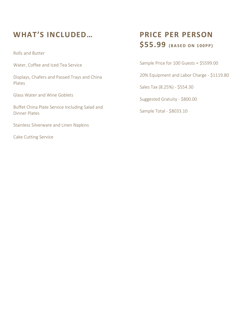## **WHAT'S INCLUDED…**

Rolls and Butter

Water, Coffee and Iced Tea Service

Displays, Chafers and Passed Trays and China Plates

Glass Water and Wine Goblets

Buffet China Plate Service Including Salad and Dinner Plates

Stainless Silverware and Linen Napkins

Cake Cutting Service

## **PRICE PER PERSON**  \$55.99 **(BASED ON 100PP)**

Sample Price for 100 Guests = \$5599.00

20% Equipment and Labor Charge - \$1119.80

Sales Tax (8.25%) - \$554.30

Suggested Gratuity - \$800.00

Sample Total - \$8033.10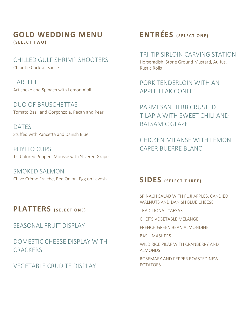#### **GOLD WEDDING MENU ( S E L E C T T W O )**

CHILLED GULF SHRIMP SHOOTERS Chipotle Cocktail Sauce

TARTLET Artichoke and Spinach with Lemon Aioli

DUO OF BRUSCHETTAS Tomato Basil and Gorgonzola, Pecan and Pear

DATES Stuffed with Pancetta and Danish Blue

PHYLLO CUPS Tri-Colored Peppers Mousse with Slivered Grape

SMOKED SALMON Chive Crème Fraiche, Red Onion, Egg on Lavosh

### **PLATTERS** (SELECT ONE)

SEASONAL FRUIT DISPLAY

DOMESTIC CHEESE DISPLAY WITH **CRACKERS** 

VEGETABLE CRUDITE DISPLAY

# **ENTRÉES** (SELECT ONE)

#### TRI-TIP SIRLOIN CARVING STATION

Horseradish, Stone Ground Mustard, Au Jus, Rustic Rolls

PORK TENDERLOIN WITH AN APPLE LEAK CONFIT

PARMESAN HERB CRUSTED TILAPIA WITH SWEET CHILI AND BALSAMIC GLAZE

CHICKEN MILANSE WITH LEMON CAPER BUERRE BLANC

### **SIDES** (SELECT THREE)

SPINACH SALAD WITH FUJI APPLES, CANDIED WALNUTS AND DANISH BLUE CHEESE

TRADITIONAL CAESAR

CHEF'S VEGETABLE MELANGE

FRENCH GREEN BEAN ALMONDINE

BASIL MASHERS

WILD RICE PILAF WITH CRANBERRY AND ALMONDS

ROSEMARY AND PEPPER ROASTED NEW POTATOES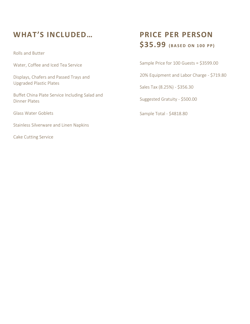## **WHAT'S INCLUDED…**

Rolls and Butter

Water, Coffee and Iced Tea Service

Displays, Chafers and Passed Trays and Upgraded Plastic Plates

Buffet China Plate Service Including Salad and Dinner Plates

Glass Water Goblets

Stainless Silverware and Linen Napkins

Cake Cutting Service

## **PRICE PER PERSON**   $$35.99$  (BASED ON 100 PP)

Sample Price for 100 Guests = \$3599.00

20% Equipment and Labor Charge - \$719.80

Sales Tax (8.25%) - \$356.30

Suggested Gratuity - \$500.00

Sample Total - \$4818.80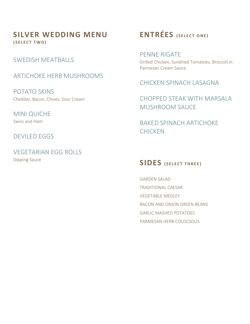#### **SILVER WEDDING MENU ( S E L E C T T W O )**

SWEDISH MEATBALLS

#### ARTICHOKE HERB MUSHROOMS

POTATO SKINS Cheddar, Bacon, Chives, Sour Cream

MINI QUICHE Swiss and Ham

DEVILED EGGS

VEGETARIAN EGG ROLLS Dipping Sauce

# **ENTRÉES** (SELECT ONE)

PENNE RIGATE Grilled Chicken, Sundried Tomatoes, Broccoli in Parmesan Cream Sauce

CHICKEN SPINACH LASAGNA

CHOPPED STEAK WITH MARSALA MUSHROOM SAUCE

BAKED SPINACH ARTICHOKE CHICKEN

### $SIDES$  (SELECT THREE)

GARDEN SALAD TRADITIONAL CAESAR VEGETABLE MEDLEY BACON AND ONION GREEN BEANS GARLIC MASHED POTATOES PARMESAN HERB COUSCSOUS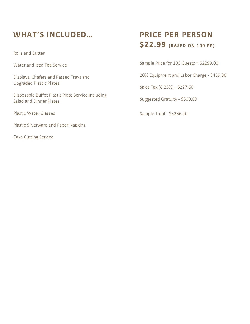## **WHAT'S INCLUDED…**

Rolls and Butter

Water and Iced Tea Service

Displays, Chafers and Passed Trays and Upgraded Plastic Plates

Disposable Buffet Plastic Plate Service Including Salad and Dinner Plates

Plastic Water Glasses

Plastic Silverware and Paper Napkins

Cake Cutting Service

## **PRICE PER PERSON**   $$22.99$  (BASED ON 100 PP)

Sample Price for 100 Guests = \$2299.00

20% Equipment and Labor Charge - \$459.80

Sales Tax (8.25%) - \$227.60

Suggested Gratuity - \$300.00

Sample Total - \$3286.40